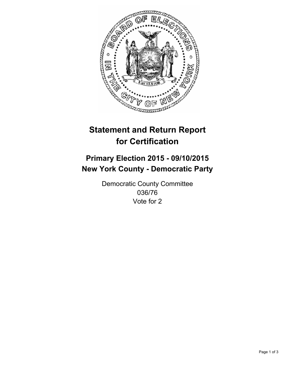

# **Statement and Return Report for Certification**

## **Primary Election 2015 - 09/10/2015 New York County - Democratic Party**

Democratic County Committee 036/76 Vote for 2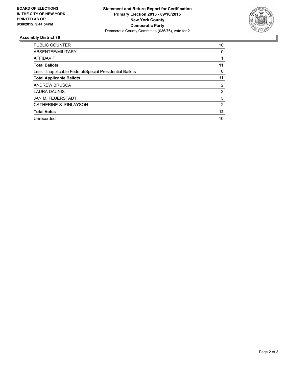

#### **Assembly District 76**

| <b>PUBLIC COUNTER</b>                                    | 10 |
|----------------------------------------------------------|----|
| ABSENTEE/MILITARY                                        | 0  |
| <b>AFFIDAVIT</b>                                         |    |
| <b>Total Ballots</b>                                     | 11 |
| Less - Inapplicable Federal/Special Presidential Ballots | 0  |
| <b>Total Applicable Ballots</b>                          | 11 |
| <b>ANDREW BRUSCA</b>                                     | 2  |
| <b>LAURA DAUNIS</b>                                      | 3  |
| <b>JAN M. FEUERSTADT</b>                                 | 5  |
| CATHERINE S. FINLAYSON                                   | 2  |
| <b>Total Votes</b>                                       | 12 |
| Unrecorded                                               | 10 |